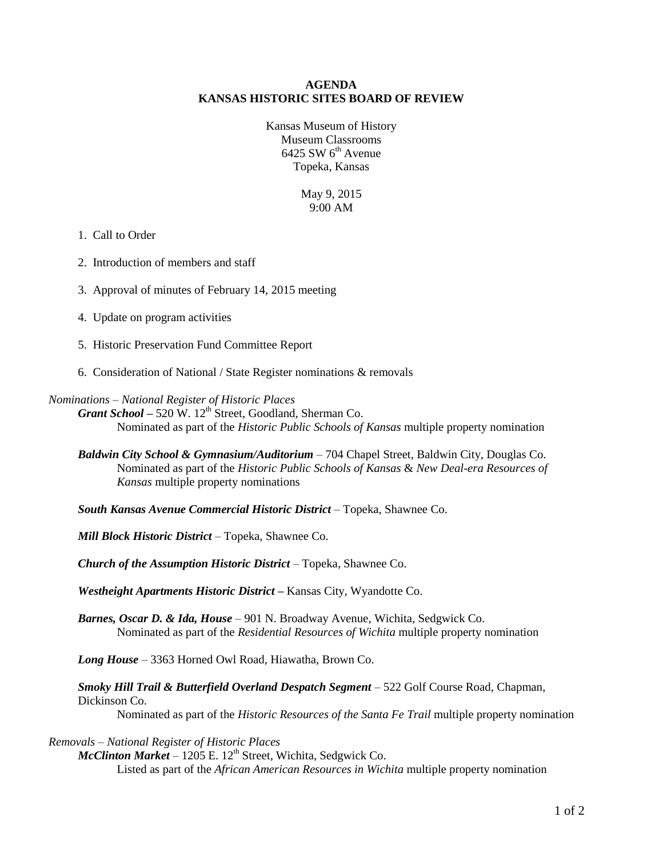#### **AGENDA KANSAS HISTORIC SITES BOARD OF REVIEW**

Kansas Museum of History Museum Classrooms  $6425$  SW  $6<sup>th</sup>$  Avenue Topeka, Kansas

> May 9, 2015 9:00 AM

#### 1. Call to Order

- 2. Introduction of members and staff
- 3. Approval of minutes of February 14, 2015 meeting
- 4. Update on program activities
- 5. Historic Preservation Fund Committee Report
- 6. Consideration of National / State Register nominations & removals

### *Nominations – National Register of Historic Places*

*Grant School –* 520 W. 12<sup>th</sup> Street, Goodland, Sherman Co. Nominated as part of the *Historic Public Schools of Kansas* multiple property nomination

- *Baldwin City School & Gymnasium/Auditorium* 704 Chapel Street, Baldwin City, Douglas Co. Nominated as part of the *Historic Public Schools of Kansas* & *New Deal-era Resources of Kansas* multiple property nominations
- *South Kansas Avenue Commercial Historic District* Topeka, Shawnee Co.

*Mill Block Historic District* – Topeka, Shawnee Co.

*Church of the Assumption Historic District* – Topeka, Shawnee Co.

*Westheight Apartments Historic District –* Kansas City, Wyandotte Co.

*Barnes, Oscar D. & Ida, House* – 901 N. Broadway Avenue, Wichita, Sedgwick Co. Nominated as part of the *Residential Resources of Wichita* multiple property nomination

*Long House* – 3363 Horned Owl Road, Hiawatha, Brown Co.

*Smoky Hill Trail & Butterfield Overland Despatch Segment* – 522 Golf Course Road, Chapman, Dickinson Co.

Nominated as part of the *Historic Resources of the Santa Fe Trail* multiple property nomination

#### *Removals – National Register of Historic Places*

 $McClinton Market - 1205 E. 12<sup>th</sup> Street, Wichita, Sedgwick Co.$ 

Listed as part of the *African American Resources in Wichita* multiple property nomination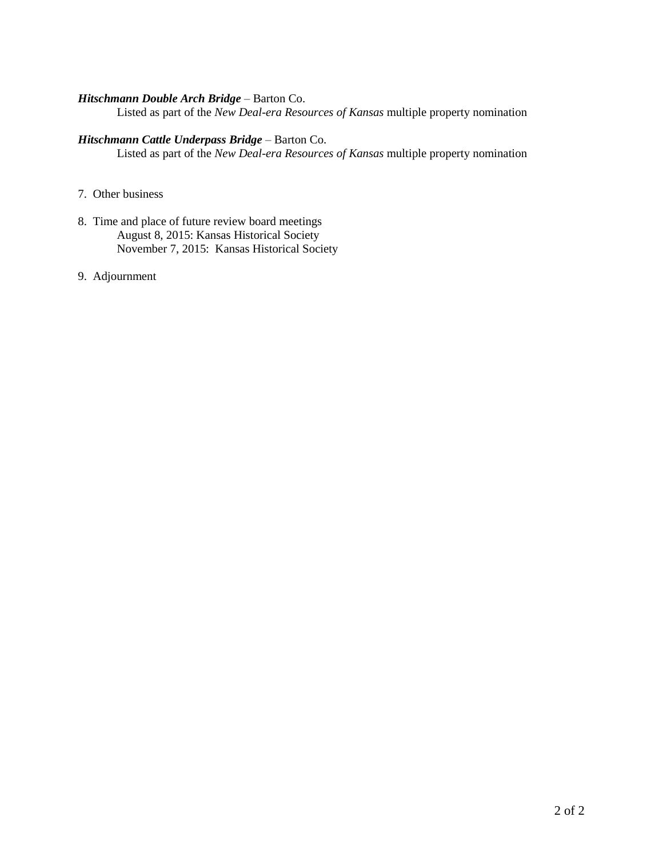#### *Hitschmann Double Arch Bridge* – Barton Co.

Listed as part of the *New Deal-era Resources of Kansas* multiple property nomination

#### *Hitschmann Cattle Underpass Bridge* – Barton Co.

Listed as part of the *New Deal-era Resources of Kansas* multiple property nomination

- 7. Other business
- 8. Time and place of future review board meetings August 8, 2015: Kansas Historical Society November 7, 2015: Kansas Historical Society
- 9. Adjournment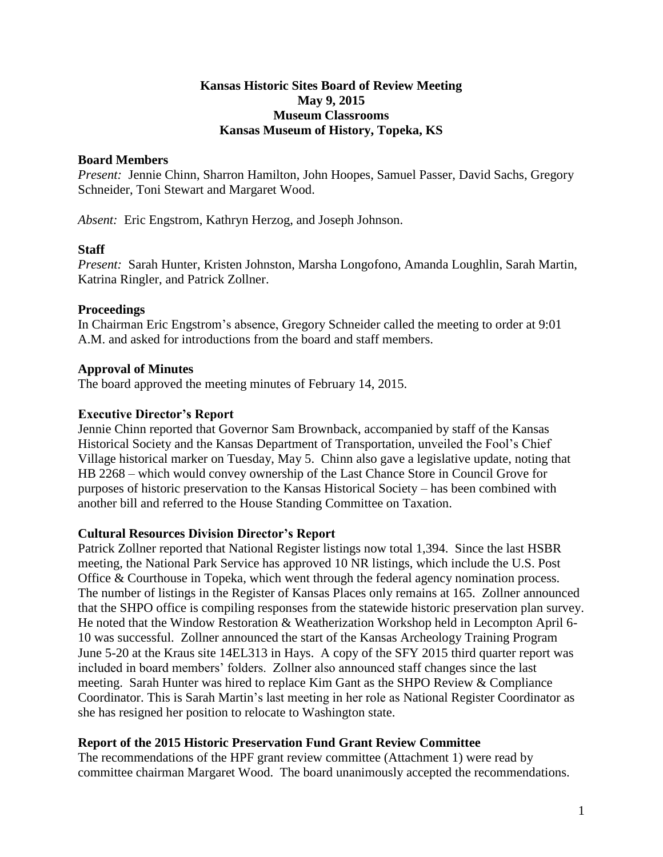### **Kansas Historic Sites Board of Review Meeting May 9, 2015 Museum Classrooms Kansas Museum of History, Topeka, KS**

### **Board Members**

*Present:* Jennie Chinn, Sharron Hamilton, John Hoopes, Samuel Passer, David Sachs, Gregory Schneider, Toni Stewart and Margaret Wood.

*Absent:* Eric Engstrom, Kathryn Herzog, and Joseph Johnson.

## **Staff**

*Present:* Sarah Hunter, Kristen Johnston, Marsha Longofono, Amanda Loughlin, Sarah Martin, Katrina Ringler, and Patrick Zollner.

### **Proceedings**

In Chairman Eric Engstrom's absence, Gregory Schneider called the meeting to order at 9:01 A.M. and asked for introductions from the board and staff members.

## **Approval of Minutes**

The board approved the meeting minutes of February 14, 2015.

## **Executive Director's Report**

Jennie Chinn reported that Governor Sam Brownback, accompanied by staff of the Kansas Historical Society and the Kansas Department of Transportation, unveiled the Fool's Chief Village historical marker on Tuesday, May 5. Chinn also gave a legislative update, noting that HB 2268 – which would convey ownership of the Last Chance Store in Council Grove for purposes of historic preservation to the Kansas Historical Society – has been combined with another bill and referred to the House Standing Committee on Taxation.

### **Cultural Resources Division Director's Report**

Patrick Zollner reported that National Register listings now total 1,394. Since the last HSBR meeting, the National Park Service has approved 10 NR listings, which include the U.S. Post Office & Courthouse in Topeka, which went through the federal agency nomination process. The number of listings in the Register of Kansas Places only remains at 165. Zollner announced that the SHPO office is compiling responses from the statewide historic preservation plan survey. He noted that the Window Restoration & Weatherization Workshop held in Lecompton April 6- 10 was successful. Zollner announced the start of the Kansas Archeology Training Program June 5-20 at the Kraus site 14EL313 in Hays. A copy of the SFY 2015 third quarter report was included in board members' folders. Zollner also announced staff changes since the last meeting. Sarah Hunter was hired to replace Kim Gant as the SHPO Review & Compliance Coordinator. This is Sarah Martin's last meeting in her role as National Register Coordinator as she has resigned her position to relocate to Washington state.

### **Report of the 2015 Historic Preservation Fund Grant Review Committee**

The recommendations of the HPF grant review committee (Attachment 1) were read by committee chairman Margaret Wood. The board unanimously accepted the recommendations.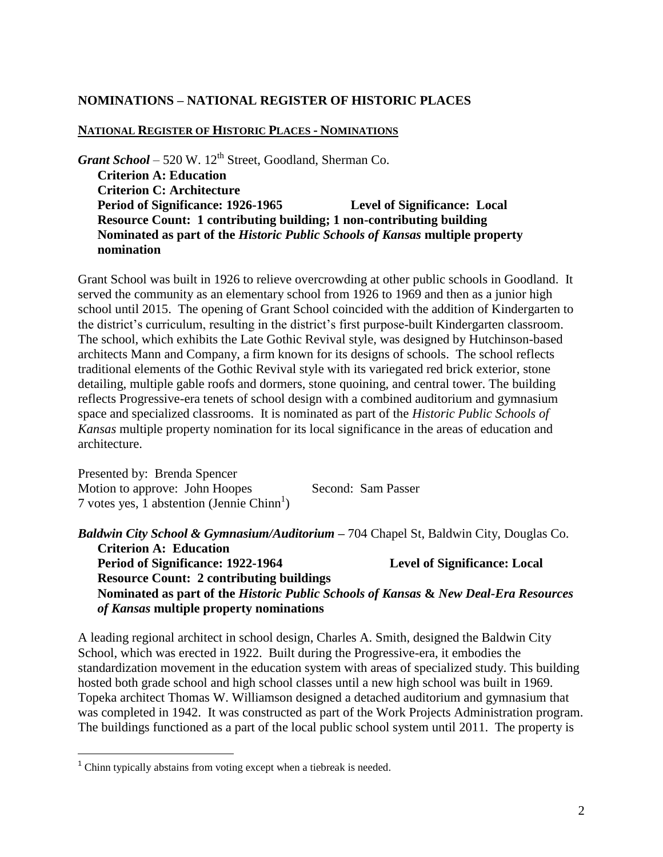## **NOMINATIONS – NATIONAL REGISTER OF HISTORIC PLACES**

#### **NATIONAL REGISTER OF HISTORIC PLACES - NOMINATIONS**

*Grant School – 520 W.* 12<sup>th</sup> Street, Goodland, Sherman Co. **Criterion A: Education Criterion C: Architecture Period of Significance: 1926-1965 Level of Significance: Local Resource Count: 1 contributing building; 1 non-contributing building Nominated as part of the** *Historic Public Schools of Kansas* **multiple property nomination**

Grant School was built in 1926 to relieve overcrowding at other public schools in Goodland. It served the community as an elementary school from 1926 to 1969 and then as a junior high school until 2015. The opening of Grant School coincided with the addition of Kindergarten to the district's curriculum, resulting in the district's first purpose-built Kindergarten classroom. The school, which exhibits the Late Gothic Revival style, was designed by Hutchinson-based architects Mann and Company, a firm known for its designs of schools. The school reflects traditional elements of the Gothic Revival style with its variegated red brick exterior, stone detailing, multiple gable roofs and dormers, stone quoining, and central tower. The building reflects Progressive-era tenets of school design with a combined auditorium and gymnasium space and specialized classrooms. It is nominated as part of the *Historic Public Schools of Kansas* multiple property nomination for its local significance in the areas of education and architecture.

Presented by: Brenda Spencer Motion to approve: John Hoopes Second: Sam Passer  $7$  votes yes, 1 abstention (Jennie Chinn<sup>1</sup>)

*Baldwin City School & Gymnasium/Auditorium –* 704 Chapel St, Baldwin City, Douglas Co. **Criterion A: Education**

**Period of Significance: 1922-1964 Level of Significance: Local Resource Count: 2 contributing buildings Nominated as part of the** *Historic Public Schools of Kansas* **&** *New Deal-Era Resources of Kansas* **multiple property nominations**

A leading regional architect in school design, Charles A. Smith, designed the Baldwin City School, which was erected in 1922. Built during the Progressive-era, it embodies the standardization movement in the education system with areas of specialized study. This building hosted both grade school and high school classes until a new high school was built in 1969. Topeka architect Thomas W. Williamson designed a detached auditorium and gymnasium that was completed in 1942. It was constructed as part of the Work Projects Administration program. The buildings functioned as a part of the local public school system until 2011. The property is

 $\overline{a}$ 

 $1$  Chinn typically abstains from voting except when a tiebreak is needed.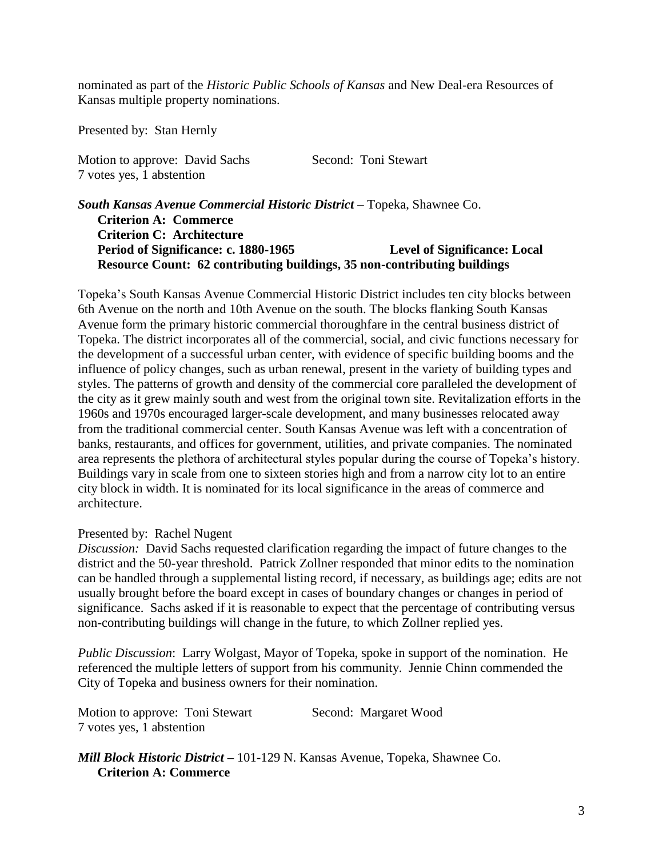nominated as part of the *Historic Public Schools of Kansas* and New Deal-era Resources of Kansas multiple property nominations.

Presented by: Stan Hernly

Motion to approve: David Sachs Second: Toni Stewart 7 votes yes, 1 abstention

*South Kansas Avenue Commercial Historic District* – Topeka, Shawnee Co. **Criterion A: Commerce Criterion C: Architecture Period of Significance: c. 1880-1965 Level of Significance: Local Resource Count: 62 contributing buildings, 35 non-contributing buildings**

Topeka's South Kansas Avenue Commercial Historic District includes ten city blocks between 6th Avenue on the north and 10th Avenue on the south. The blocks flanking South Kansas Avenue form the primary historic commercial thoroughfare in the central business district of Topeka. The district incorporates all of the commercial, social, and civic functions necessary for the development of a successful urban center, with evidence of specific building booms and the influence of policy changes, such as urban renewal, present in the variety of building types and styles. The patterns of growth and density of the commercial core paralleled the development of the city as it grew mainly south and west from the original town site. Revitalization efforts in the 1960s and 1970s encouraged larger-scale development, and many businesses relocated away from the traditional commercial center. South Kansas Avenue was left with a concentration of banks, restaurants, and offices for government, utilities, and private companies. The nominated area represents the plethora of architectural styles popular during the course of Topeka's history. Buildings vary in scale from one to sixteen stories high and from a narrow city lot to an entire city block in width. It is nominated for its local significance in the areas of commerce and architecture.

### Presented by: Rachel Nugent

*Discussion:* David Sachs requested clarification regarding the impact of future changes to the district and the 50-year threshold. Patrick Zollner responded that minor edits to the nomination can be handled through a supplemental listing record, if necessary, as buildings age; edits are not usually brought before the board except in cases of boundary changes or changes in period of significance. Sachs asked if it is reasonable to expect that the percentage of contributing versus non-contributing buildings will change in the future, to which Zollner replied yes.

*Public Discussion*: Larry Wolgast, Mayor of Topeka, spoke in support of the nomination. He referenced the multiple letters of support from his community. Jennie Chinn commended the City of Topeka and business owners for their nomination.

| Motion to approve: Toni Stewart | Second: Margaret Wood |
|---------------------------------|-----------------------|
| 7 votes yes, 1 abstention       |                       |

*Mill Block Historic District –* 101-129 N. Kansas Avenue, Topeka, Shawnee Co. **Criterion A: Commerce**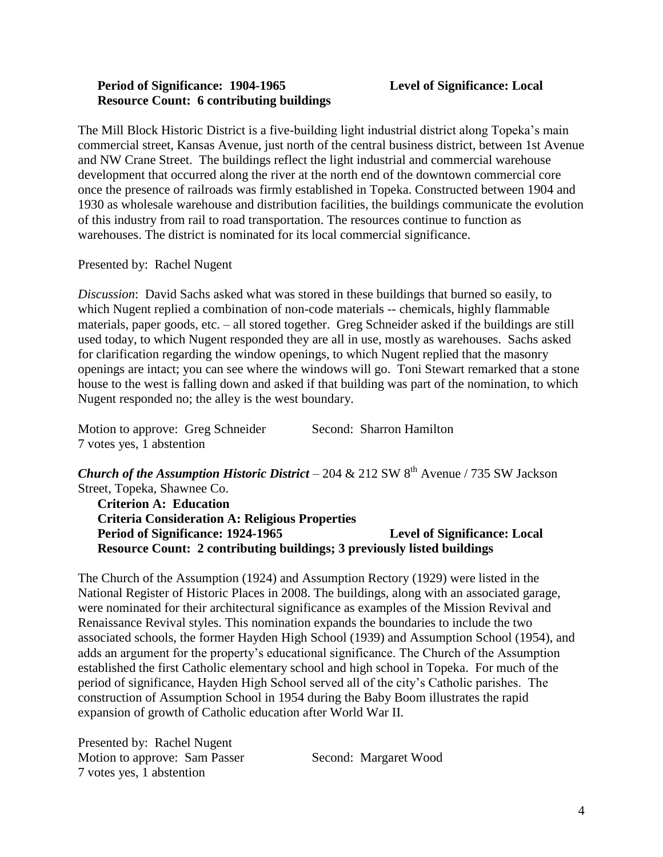### **Period of Significance: 1904-1965 Level of Significance: Local Resource Count: 6 contributing buildings**

The Mill Block Historic District is a five-building light industrial district along Topeka's main commercial street, Kansas Avenue, just north of the central business district, between 1st Avenue and NW Crane Street. The buildings reflect the light industrial and commercial warehouse development that occurred along the river at the north end of the downtown commercial core once the presence of railroads was firmly established in Topeka. Constructed between 1904 and 1930 as wholesale warehouse and distribution facilities, the buildings communicate the evolution of this industry from rail to road transportation. The resources continue to function as warehouses. The district is nominated for its local commercial significance.

Presented by: Rachel Nugent

*Discussion*: David Sachs asked what was stored in these buildings that burned so easily, to which Nugent replied a combination of non-code materials -- chemicals, highly flammable materials, paper goods, etc. – all stored together. Greg Schneider asked if the buildings are still used today, to which Nugent responded they are all in use, mostly as warehouses. Sachs asked for clarification regarding the window openings, to which Nugent replied that the masonry openings are intact; you can see where the windows will go. Toni Stewart remarked that a stone house to the west is falling down and asked if that building was part of the nomination, to which Nugent responded no; the alley is the west boundary.

Motion to approve: Greg Schneider Second: Sharron Hamilton 7 votes yes, 1 abstention

*Church of the Assumption Historic District* – 204 & 212 SW  $8<sup>th</sup>$  Avenue / 735 SW Jackson Street, Topeka, Shawnee Co.

**Criterion A: Education Criteria Consideration A: Religious Properties Period of Significance: 1924-1965 Level of Significance: Local Resource Count: 2 contributing buildings; 3 previously listed buildings**

The Church of the Assumption (1924) and Assumption Rectory (1929) were listed in the National Register of Historic Places in 2008. The buildings, along with an associated garage, were nominated for their architectural significance as examples of the Mission Revival and Renaissance Revival styles. This nomination expands the boundaries to include the two associated schools, the former Hayden High School (1939) and Assumption School (1954), and adds an argument for the property's educational significance. The Church of the Assumption established the first Catholic elementary school and high school in Topeka. For much of the period of significance, Hayden High School served all of the city's Catholic parishes. The construction of Assumption School in 1954 during the Baby Boom illustrates the rapid expansion of growth of Catholic education after World War II.

Presented by: Rachel Nugent Motion to approve: Sam Passer Second: Margaret Wood 7 votes yes, 1 abstention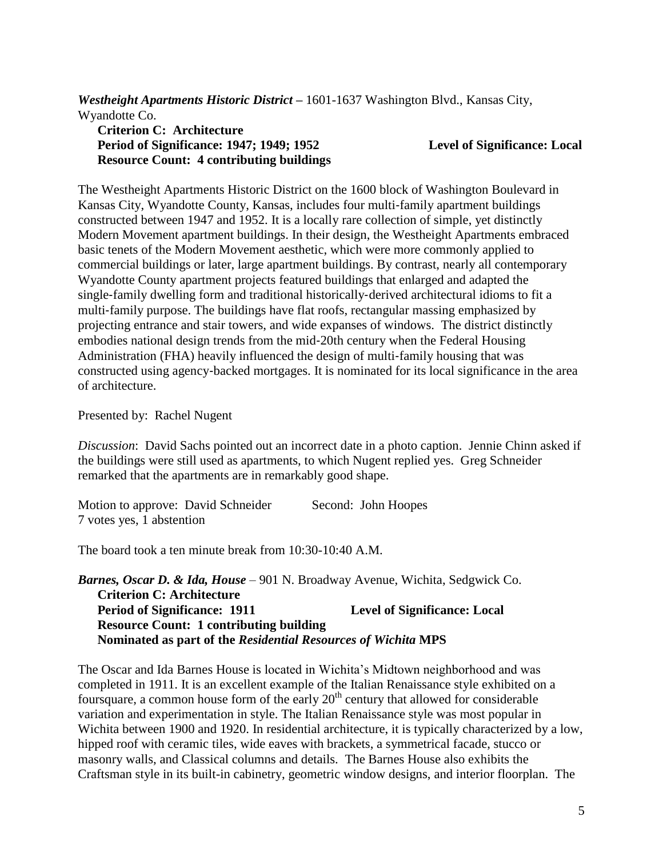*Westheight Apartments Historic District –* 1601-1637 Washington Blvd., Kansas City, Wyandotte Co.

## **Criterion C: Architecture Period of Significance: 1947; 1949; 1952 Level of Significance: Local Resource Count: 4 contributing buildings**

The Westheight Apartments Historic District on the 1600 block of Washington Boulevard in Kansas City, Wyandotte County, Kansas, includes four multi-family apartment buildings constructed between 1947 and 1952. It is a locally rare collection of simple, yet distinctly Modern Movement apartment buildings. In their design, the Westheight Apartments embraced basic tenets of the Modern Movement aesthetic, which were more commonly applied to commercial buildings or later, large apartment buildings. By contrast, nearly all contemporary Wyandotte County apartment projects featured buildings that enlarged and adapted the single‐family dwelling form and traditional historically‐derived architectural idioms to fit a multi-family purpose. The buildings have flat roofs, rectangular massing emphasized by projecting entrance and stair towers, and wide expanses of windows. The district distinctly embodies national design trends from the mid‐20th century when the Federal Housing Administration (FHA) heavily influenced the design of multi-family housing that was constructed using agency‐backed mortgages. It is nominated for its local significance in the area of architecture.

Presented by: Rachel Nugent

*Discussion*: David Sachs pointed out an incorrect date in a photo caption. Jennie Chinn asked if the buildings were still used as apartments, to which Nugent replied yes. Greg Schneider remarked that the apartments are in remarkably good shape.

Motion to approve: David Schneider Second: John Hoopes 7 votes yes, 1 abstention

The board took a ten minute break from 10:30-10:40 A.M.

*Barnes, Oscar D. & Ida, House* – 901 N. Broadway Avenue, Wichita, Sedgwick Co. **Criterion C: Architecture Period of Significance: 1911 Level of Significance: Local Resource Count: 1 contributing building Nominated as part of the** *Residential Resources of Wichita* **MPS**

The Oscar and Ida Barnes House is located in Wichita's Midtown neighborhood and was completed in 1911. It is an excellent example of the Italian Renaissance style exhibited on a foursquare, a common house form of the early  $20<sup>th</sup>$  century that allowed for considerable variation and experimentation in style. The Italian Renaissance style was most popular in Wichita between 1900 and 1920. In residential architecture, it is typically characterized by a low, hipped roof with ceramic tiles, wide eaves with brackets, a symmetrical facade, stucco or masonry walls, and Classical columns and details. The Barnes House also exhibits the Craftsman style in its built-in cabinetry, geometric window designs, and interior floorplan. The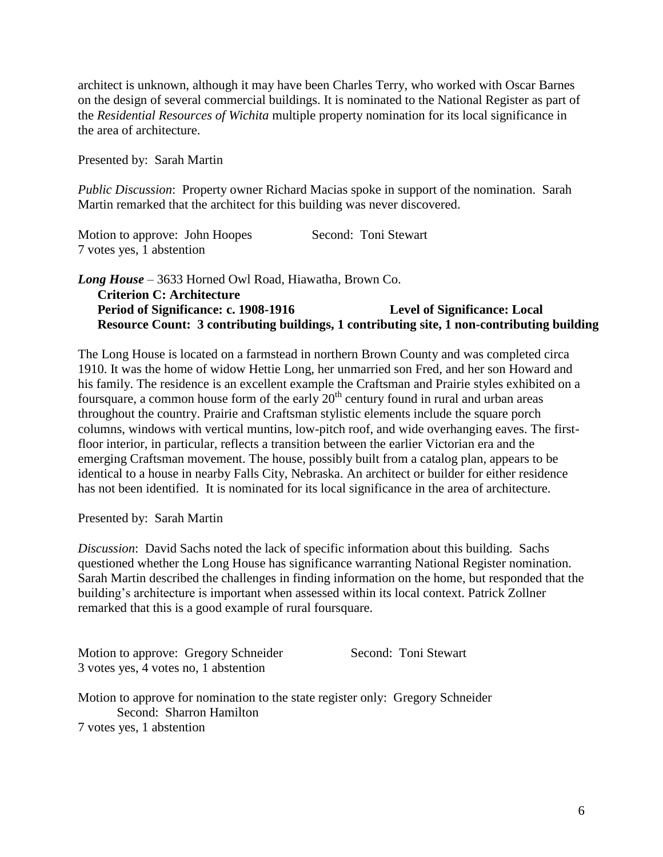architect is unknown, although it may have been Charles Terry, who worked with Oscar Barnes on the design of several commercial buildings. It is nominated to the National Register as part of the *Residential Resources of Wichita* multiple property nomination for its local significance in the area of architecture.

Presented by: Sarah Martin

*Public Discussion*: Property owner Richard Macias spoke in support of the nomination. Sarah Martin remarked that the architect for this building was never discovered.

| Motion to approve: John Hoopes | Second: Toni Stewart |
|--------------------------------|----------------------|
| 7 votes yes, 1 abstention      |                      |

## *Long House* – 3633 Horned Owl Road, Hiawatha, Brown Co. **Criterion C: Architecture Period of Significance: c. 1908-1916 Level of Significance: Local Resource Count: 3 contributing buildings, 1 contributing site, 1 non-contributing building**

The Long House is located on a farmstead in northern Brown County and was completed circa 1910. It was the home of widow Hettie Long, her unmarried son Fred, and her son Howard and his family. The residence is an excellent example the Craftsman and Prairie styles exhibited on a foursquare, a common house form of the early  $20<sup>th</sup>$  century found in rural and urban areas throughout the country. Prairie and Craftsman stylistic elements include the square porch columns, windows with vertical muntins, low-pitch roof, and wide overhanging eaves. The firstfloor interior, in particular, reflects a transition between the earlier Victorian era and the emerging Craftsman movement. The house, possibly built from a catalog plan, appears to be identical to a house in nearby Falls City, Nebraska. An architect or builder for either residence has not been identified. It is nominated for its local significance in the area of architecture.

Presented by: Sarah Martin

*Discussion*: David Sachs noted the lack of specific information about this building. Sachs questioned whether the Long House has significance warranting National Register nomination. Sarah Martin described the challenges in finding information on the home, but responded that the building's architecture is important when assessed within its local context. Patrick Zollner remarked that this is a good example of rural foursquare.

Motion to approve: Gregory Schneider Second: Toni Stewart 3 votes yes, 4 votes no, 1 abstention

Motion to approve for nomination to the state register only: Gregory Schneider Second: Sharron Hamilton 7 votes yes, 1 abstention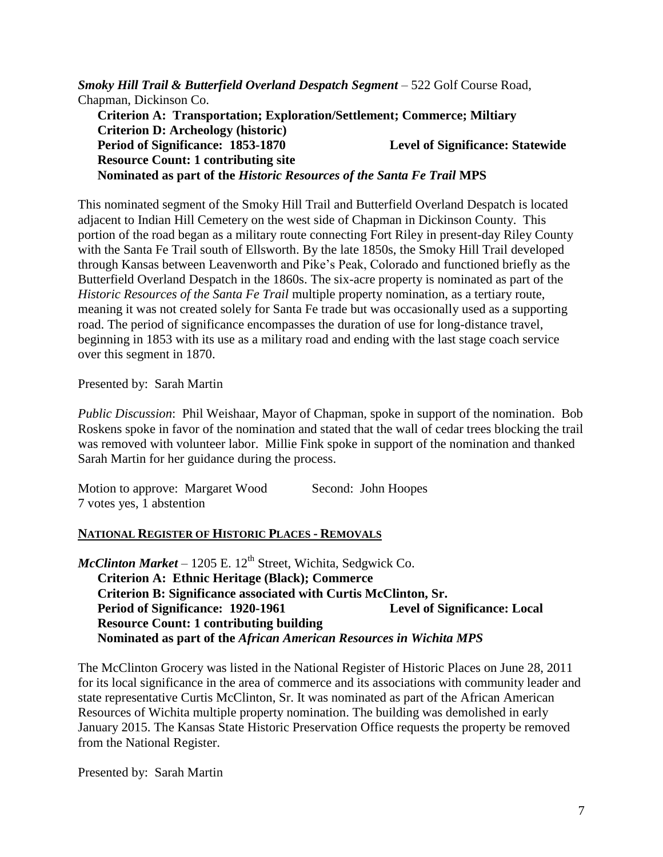*Smoky Hill Trail & Butterfield Overland Despatch Segment* – 522 Golf Course Road, Chapman, Dickinson Co. **Criterion A: Transportation; Exploration/Settlement; Commerce; Miltiary Criterion D: Archeology (historic) Period of Significance: 1853-1870 Level of Significance: Statewide Resource Count: 1 contributing site Nominated as part of the** *Historic Resources of the Santa Fe Trail* **MPS**

This nominated segment of the Smoky Hill Trail and Butterfield Overland Despatch is located adjacent to Indian Hill Cemetery on the west side of Chapman in Dickinson County. This portion of the road began as a military route connecting Fort Riley in present-day Riley County with the Santa Fe Trail south of Ellsworth. By the late 1850s, the Smoky Hill Trail developed through Kansas between Leavenworth and Pike's Peak, Colorado and functioned briefly as the Butterfield Overland Despatch in the 1860s. The six-acre property is nominated as part of the *Historic Resources of the Santa Fe Trail* multiple property nomination, as a tertiary route, meaning it was not created solely for Santa Fe trade but was occasionally used as a supporting road. The period of significance encompasses the duration of use for long-distance travel, beginning in 1853 with its use as a military road and ending with the last stage coach service over this segment in 1870.

Presented by: Sarah Martin

*Public Discussion*: Phil Weishaar, Mayor of Chapman, spoke in support of the nomination. Bob Roskens spoke in favor of the nomination and stated that the wall of cedar trees blocking the trail was removed with volunteer labor. Millie Fink spoke in support of the nomination and thanked Sarah Martin for her guidance during the process.

Motion to approve: Margaret Wood Second: John Hoopes 7 votes yes, 1 abstention

### **NATIONAL REGISTER OF HISTORIC PLACES - REMOVALS**

 $McClinton Market - 1205 E. 12<sup>th</sup> Street, Wichita, Sedgwick Co.$ **Criterion A: Ethnic Heritage (Black); Commerce Criterion B: Significance associated with Curtis McClinton, Sr. Period of Significance: 1920-1961 Level of Significance: Local Resource Count: 1 contributing building Nominated as part of the** *African American Resources in Wichita MPS*

The McClinton Grocery was listed in the National Register of Historic Places on June 28, 2011 for its local significance in the area of commerce and its associations with community leader and state representative Curtis McClinton, Sr. It was nominated as part of the African American Resources of Wichita multiple property nomination. The building was demolished in early January 2015. The Kansas State Historic Preservation Office requests the property be removed from the National Register.

Presented by: Sarah Martin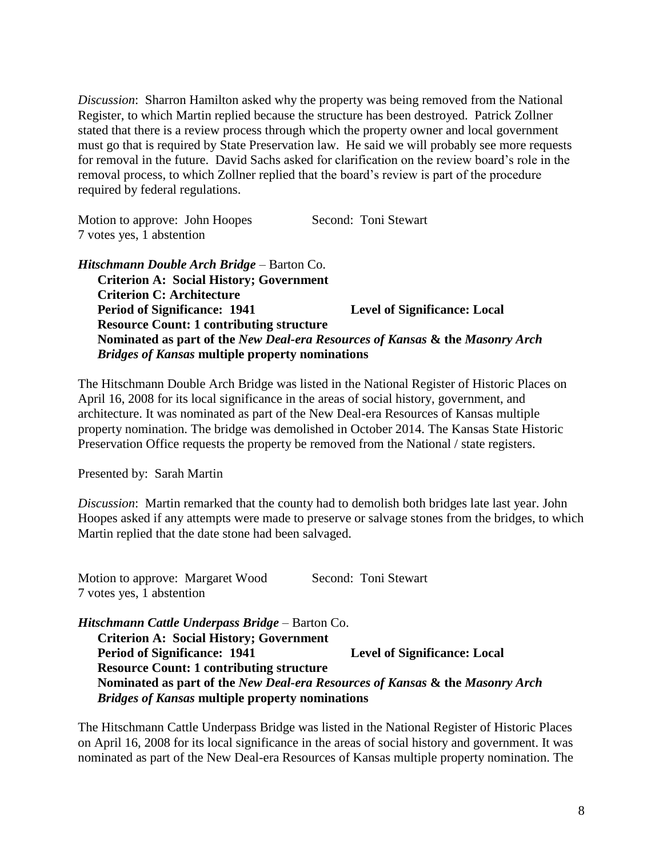*Discussion*: Sharron Hamilton asked why the property was being removed from the National Register, to which Martin replied because the structure has been destroyed. Patrick Zollner stated that there is a review process through which the property owner and local government must go that is required by State Preservation law. He said we will probably see more requests for removal in the future. David Sachs asked for clarification on the review board's role in the removal process, to which Zollner replied that the board's review is part of the procedure required by federal regulations.

Motion to approve: John Hoopes Second: Toni Stewart 7 votes yes, 1 abstention

## *Hitschmann Double Arch Bridge* – Barton Co. **Criterion A: Social History; Government Criterion C: Architecture Period of Significance: 1941 Level of Significance: Local Resource Count: 1 contributing structure Nominated as part of the** *New Deal-era Resources of Kansas* **& the** *Masonry Arch Bridges of Kansas* **multiple property nominations**

The Hitschmann Double Arch Bridge was listed in the National Register of Historic Places on April 16, 2008 for its local significance in the areas of social history, government, and architecture. It was nominated as part of the New Deal-era Resources of Kansas multiple property nomination. The bridge was demolished in October 2014. The Kansas State Historic Preservation Office requests the property be removed from the National / state registers.

Presented by: Sarah Martin

*Discussion*: Martin remarked that the county had to demolish both bridges late last year. John Hoopes asked if any attempts were made to preserve or salvage stones from the bridges, to which Martin replied that the date stone had been salvaged.

Motion to approve: Margaret Wood Second: Toni Stewart 7 votes yes, 1 abstention

*Hitschmann Cattle Underpass Bridge* – Barton Co. **Criterion A: Social History; Government Period of Significance: 1941 Level of Significance: Local Resource Count: 1 contributing structure Nominated as part of the** *New Deal-era Resources of Kansas* **& the** *Masonry Arch Bridges of Kansas* **multiple property nominations**

The Hitschmann Cattle Underpass Bridge was listed in the National Register of Historic Places on April 16, 2008 for its local significance in the areas of social history and government. It was nominated as part of the New Deal-era Resources of Kansas multiple property nomination. The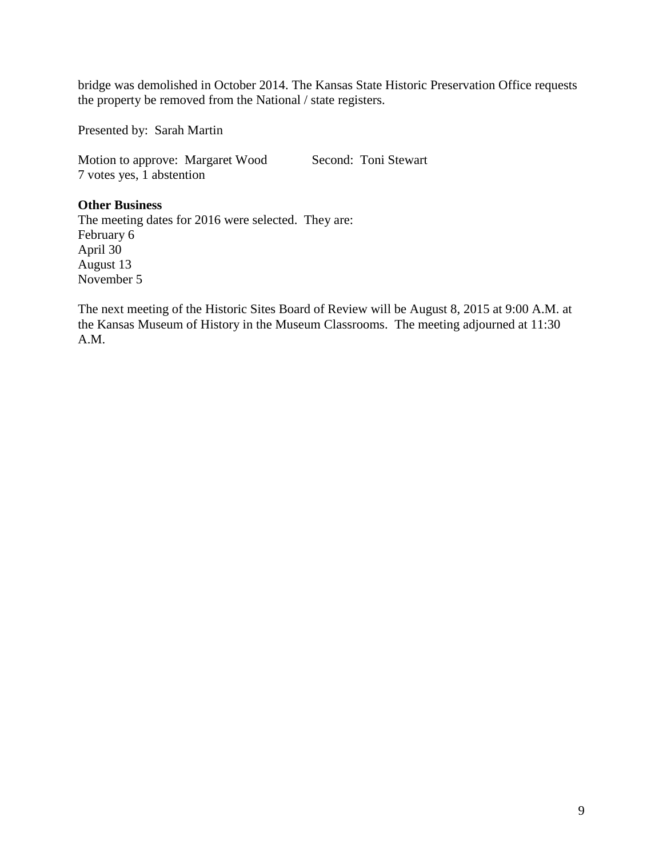bridge was demolished in October 2014. The Kansas State Historic Preservation Office requests the property be removed from the National / state registers.

Presented by: Sarah Martin

Motion to approve: Margaret Wood Second: Toni Stewart 7 votes yes, 1 abstention

### **Other Business**

The meeting dates for 2016 were selected. They are: February 6 April 30 August 13 November 5

The next meeting of the Historic Sites Board of Review will be August 8, 2015 at 9:00 A.M. at the Kansas Museum of History in the Museum Classrooms. The meeting adjourned at 11:30 A.M.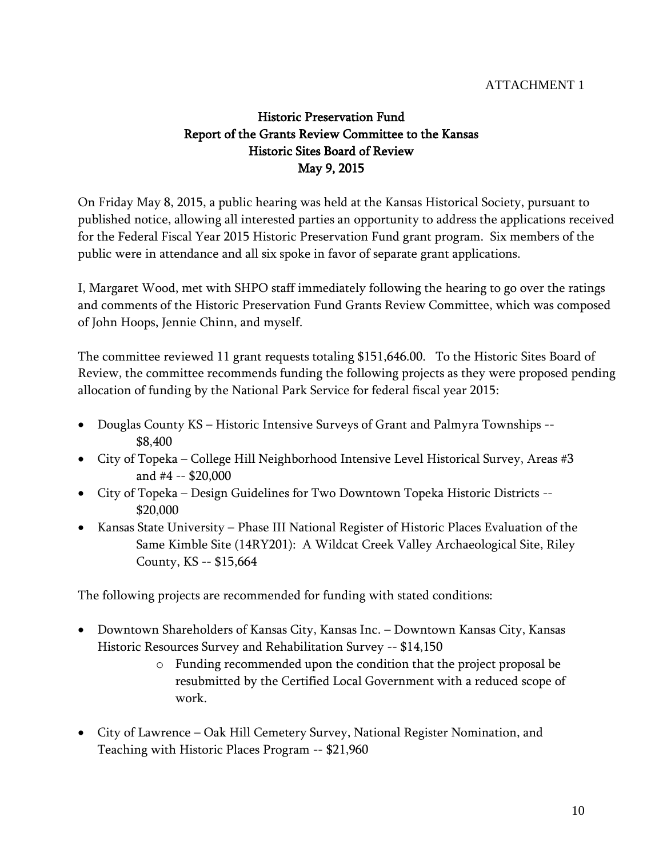## ATTACHMENT 1

# Historic Preservation Fund Report of the Grants Review Committee to the Kansas Historic Sites Board of Review May 9, 2015

On Friday May 8, 2015, a public hearing was held at the Kansas Historical Society, pursuant to published notice, allowing all interested parties an opportunity to address the applications received for the Federal Fiscal Year 2015 Historic Preservation Fund grant program. Six members of the public were in attendance and all six spoke in favor of separate grant applications.

I, Margaret Wood, met with SHPO staff immediately following the hearing to go over the ratings and comments of the Historic Preservation Fund Grants Review Committee, which was composed of John Hoops, Jennie Chinn, and myself.

The committee reviewed 11 grant requests totaling \$151,646.00. To the Historic Sites Board of Review, the committee recommends funding the following projects as they were proposed pending allocation of funding by the National Park Service for federal fiscal year 2015:

- Douglas County KS Historic Intensive Surveys of Grant and Palmyra Townships -- \$8,400
- City of Topeka College Hill Neighborhood Intensive Level Historical Survey, Areas #3 and #4 -- \$20,000
- City of Topeka Design Guidelines for Two Downtown Topeka Historic Districts -- \$20,000
- Kansas State University Phase III National Register of Historic Places Evaluation of the Same Kimble Site (14RY201): A Wildcat Creek Valley Archaeological Site, Riley County, KS -- \$15,664

The following projects are recommended for funding with stated conditions:

- Downtown Shareholders of Kansas City, Kansas Inc. Downtown Kansas City, Kansas Historic Resources Survey and Rehabilitation Survey -- \$14,150
	- o Funding recommended upon the condition that the project proposal be resubmitted by the Certified Local Government with a reduced scope of work.
- City of Lawrence Oak Hill Cemetery Survey, National Register Nomination, and Teaching with Historic Places Program -- \$21,960